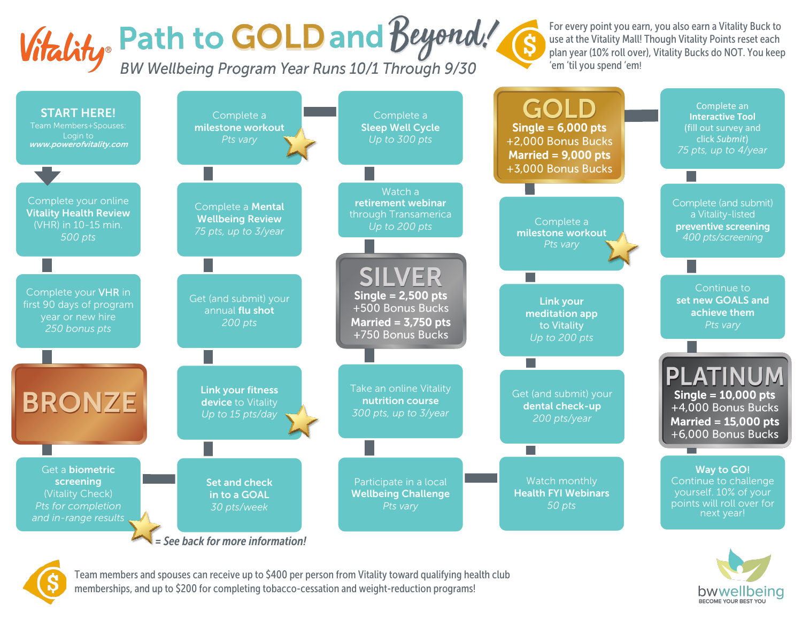# Vitality Path to GOLD and Beyond!

For every point you earn, you also earn a Vitality Buck to use at the Vitality Mall! Though Vitality Points reset each plan year (10% roll over), Vitality Bucks do NOT. You keep 'em 'til you spend 'em!

> bwwellbeing BECOME VOLID BEST VOL



*= See back for more information!*



Team members and spouses can receive up to \$400 per person from Vitality toward qualifying health club memberships, and up to \$200 for completing tobacco-cessation and weight-reduction programs!